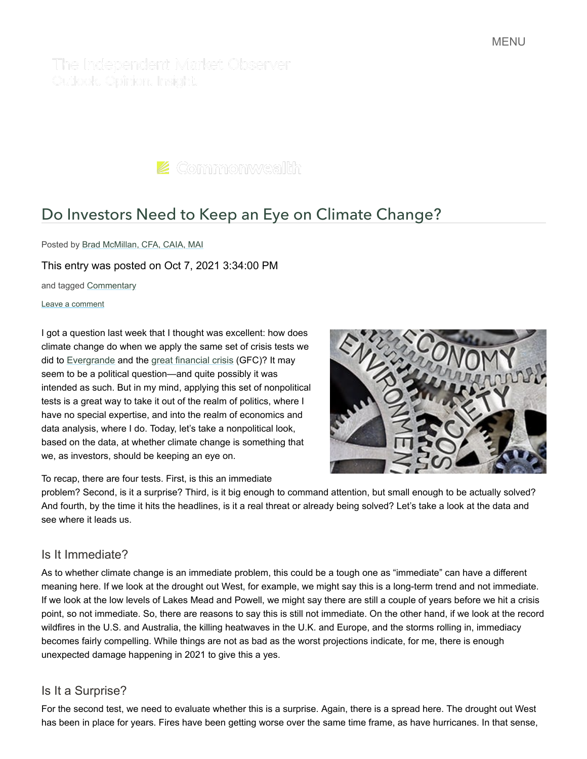The Independent Market Observer Outlook, Opinion, Insight,

 $\blacktriangleright$  Commonwealth

# [Do Investors Need to Keep an Eye on Climate Change?](https://blog.commonwealth.com/independent-market-observer/do-investors-need-to-keep-an-eye-on-climate-change)

Posted by [Brad McMillan, CFA, CAIA, MAI](https://blog.commonwealth.com/independent-market-observer/author/brad-mcmillan-cfa-caia-mai)

This entry was posted on Oct 7, 2021 3:34:00 PM

and tagged [Commentary](https://blog.commonwealth.com/independent-market-observer/topic/commentary)

Leave a comment

I got a question last week that I thought was excellent: how does climate change do when we apply the same set of crisis tests we did to [Evergrande](https://blog.commonwealth.com/independent-market-observer/headline-risk-vs.-real-risk) and the [great financial crisis](https://blog.commonwealth.com/independent-market-observer/putting-the-great-financial-crisis-to-the-test) (GFC)? It may seem to be a political question—and quite possibly it was intended as such. But in my mind, applying this set of nonpolitical tests is a great way to take it out of the realm of politics, where I have no special expertise, and into the realm of economics and data analysis, where I do. Today, let's take a nonpolitical look, based on the data, at whether climate change is something that we, as investors, should be keeping an eye on.

To recap, there are four tests. First, is this an immediate

problem? Second, is it a surprise? Third, is it big enough to command attention, but small enough to be actually solved? And fourth, by the time it hits the headlines, is it a real threat or already being solved? Let's take a look at the data and see where it leads us.

#### Is It Immediate?

As to whether climate change is an immediate problem, this could be a tough one as "immediate" can have a different meaning here. If we look at the drought out West, for example, we might say this is a long-term trend and not immediate. If we look at the low levels of Lakes Mead and Powell, we might say there are still a couple of years before we hit a crisis point, so not immediate. So, there are reasons to say this is still not immediate. On the other hand, if we look at the record wildfires in the U.S. and Australia, the killing heatwaves in the U.K. and Europe, and the storms rolling in, immediacy becomes fairly compelling. While things are not as bad as the worst projections indicate, for me, there is enough unexpected damage happening in 2021 to give this a yes.

# Is It a Surprise?

For the second test, we need to evaluate whether this is a surprise. Again, there is a spread here. The drought out West has been in place for years. Fires have been getting worse over the same time frame, as have hurricanes. In that sense,